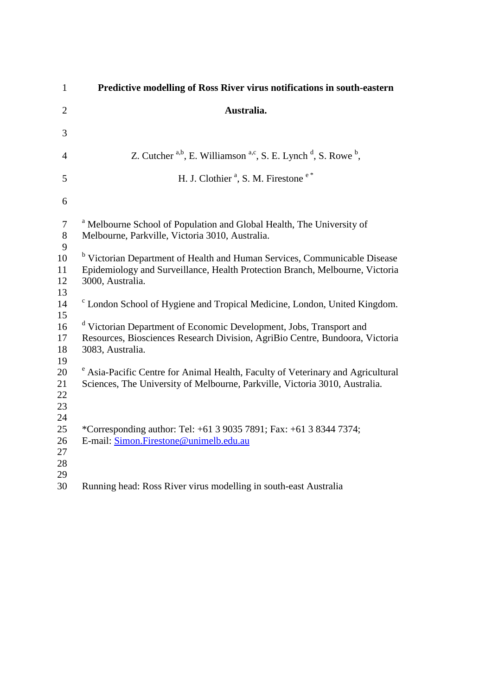| $\mathbf{1}$               | Predictive modelling of Ross River virus notifications in south-eastern                                                                                                                  |
|----------------------------|------------------------------------------------------------------------------------------------------------------------------------------------------------------------------------------|
| $\overline{2}$             | Australia.                                                                                                                                                                               |
| 3                          |                                                                                                                                                                                          |
| $\overline{4}$             | Z. Cutcher $a,b$ , E. Williamson $a,c$ , S. E. Lynch $d$ , S. Rowe $b$ ,                                                                                                                 |
| 5                          | H. J. Clothier <sup>a</sup> , S. M. Firestone <sup>e*</sup>                                                                                                                              |
| 6                          |                                                                                                                                                                                          |
| $\tau$<br>$8\,$<br>9       | <sup>a</sup> Melbourne School of Population and Global Health, The University of<br>Melbourne, Parkville, Victoria 3010, Australia.                                                      |
| 10<br>11<br>12<br>13       | <sup>b</sup> Victorian Department of Health and Human Services, Communicable Disease<br>Epidemiology and Surveillance, Health Protection Branch, Melbourne, Victoria<br>3000, Australia. |
| 14<br>15                   | <sup>c</sup> London School of Hygiene and Tropical Medicine, London, United Kingdom.                                                                                                     |
| 16<br>17<br>18<br>19       | <sup>d</sup> Victorian Department of Economic Development, Jobs, Transport and<br>Resources, Biosciences Research Division, AgriBio Centre, Bundoora, Victoria<br>3083, Australia.       |
| 20<br>21<br>22<br>23<br>24 | <sup>e</sup> Asia-Pacific Centre for Animal Health, Faculty of Veterinary and Agricultural<br>Sciences, The University of Melbourne, Parkville, Victoria 3010, Australia.                |
| 25<br>26<br>27<br>28<br>29 | *Corresponding author: Tel: +61 3 9035 7891; Fax: +61 3 8344 7374;<br>E-mail: Simon.Firestone@unimelb.edu.au                                                                             |
| 30                         | Running head: Ross River virus modelling in south-east Australia                                                                                                                         |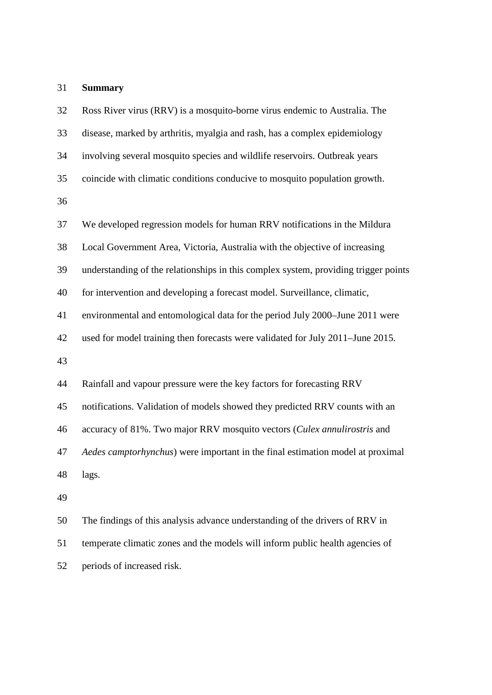## **Summary**

 Ross River virus (RRV) is a mosquito-borne virus endemic to Australia. The disease, marked by arthritis, myalgia and rash, has a complex epidemiology involving several mosquito species and wildlife reservoirs. Outbreak years coincide with climatic conditions conducive to mosquito population growth. We developed regression models for human RRV notifications in the Mildura Local Government Area, Victoria, Australia with the objective of increasing understanding of the relationships in this complex system, providing trigger points for intervention and developing a forecast model. Surveillance, climatic, environmental and entomological data for the period July 2000–June 2011 were used for model training then forecasts were validated for July 2011–June 2015. Rainfall and vapour pressure were the key factors for forecasting RRV notifications. Validation of models showed they predicted RRV counts with an accuracy of 81%. Two major RRV mosquito vectors (*Culex annulirostris* and *Aedes camptorhynchus*) were important in the final estimation model at proximal lags. The findings of this analysis advance understanding of the drivers of RRV in temperate climatic zones and the models will inform public health agencies of

periods of increased risk.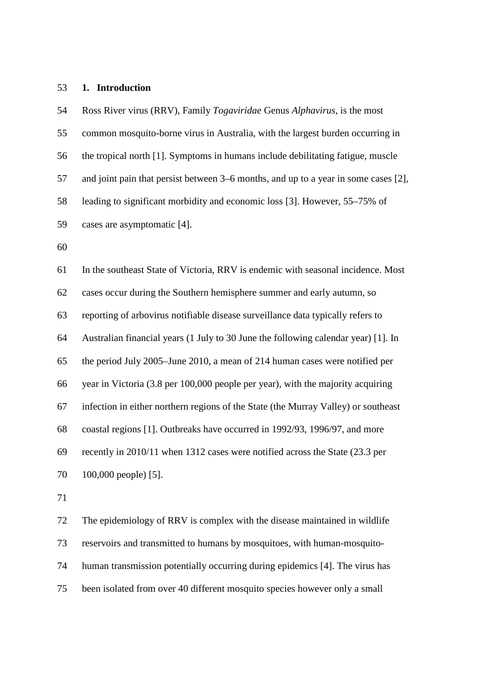## **1. Introduction**

 Ross River virus (RRV), Family *Togaviridae* Genus *Alphavirus*, is the most common mosquito-borne virus in Australia, with the largest burden occurring in the tropical north [1]. Symptoms in humans include debilitating fatigue, muscle and joint pain that persist between 3–6 months, and up to a year in some cases [2], leading to significant morbidity and economic loss [3]. However, 55–75% of cases are asymptomatic [4]. In the southeast State of Victoria, RRV is endemic with seasonal incidence. Most cases occur during the Southern hemisphere summer and early autumn, so reporting of arbovirus notifiable disease surveillance data typically refers to Australian financial years (1 July to 30 June the following calendar year) [1]. In the period July 2005–June 2010, a mean of 214 human cases were notified per year in Victoria (3.8 per 100,000 people per year), with the majority acquiring infection in either northern regions of the State (the Murray Valley) or southeast coastal regions [1]. Outbreaks have occurred in 1992/93, 1996/97, and more recently in 2010/11 when 1312 cases were notified across the State (23.3 per 100,000 people) [5]. 

 The epidemiology of RRV is complex with the disease maintained in wildlife reservoirs and transmitted to humans by mosquitoes, with human-mosquito- human transmission potentially occurring during epidemics [4]. The virus has been isolated from over 40 different mosquito species however only a small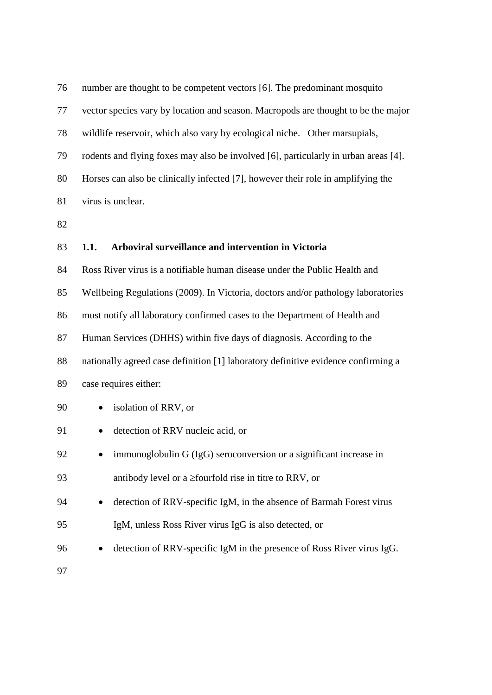| 76 | number are thought to be competent vectors [6]. The predominant mosquito            |
|----|-------------------------------------------------------------------------------------|
| 77 | vector species vary by location and season. Macropods are thought to be the major   |
| 78 | wildlife reservoir, which also vary by ecological niche. Other marsupials,          |
| 79 | rodents and flying foxes may also be involved [6], particularly in urban areas [4]. |
| 80 | Horses can also be clinically infected [7], however their role in amplifying the    |
| 81 | virus is unclear.                                                                   |
| 82 |                                                                                     |
| 83 | Arboviral surveillance and intervention in Victoria<br>1.1.                         |
| 84 | Ross River virus is a notifiable human disease under the Public Health and          |
| 85 | Wellbeing Regulations (2009). In Victoria, doctors and/or pathology laboratories    |
| 86 | must notify all laboratory confirmed cases to the Department of Health and          |
| 87 | Human Services (DHHS) within five days of diagnosis. According to the               |
| 88 | nationally agreed case definition [1] laboratory definitive evidence confirming a   |
| 89 | case requires either:                                                               |
| 90 | isolation of RRV, or                                                                |
| 91 | detection of RRV nucleic acid, or                                                   |
| 92 | immunoglobulin G (IgG) seroconversion or a significant increase in                  |
| 93 | antibody level or a $\ge$ fourfold rise in titre to RRV, or                         |
| 94 | detection of RRV-specific IgM, in the absence of Barmah Forest virus                |
| 95 | IgM, unless Ross River virus IgG is also detected, or                               |
| 96 | detection of RRV-specific IgM in the presence of Ross River virus IgG.              |
| 97 |                                                                                     |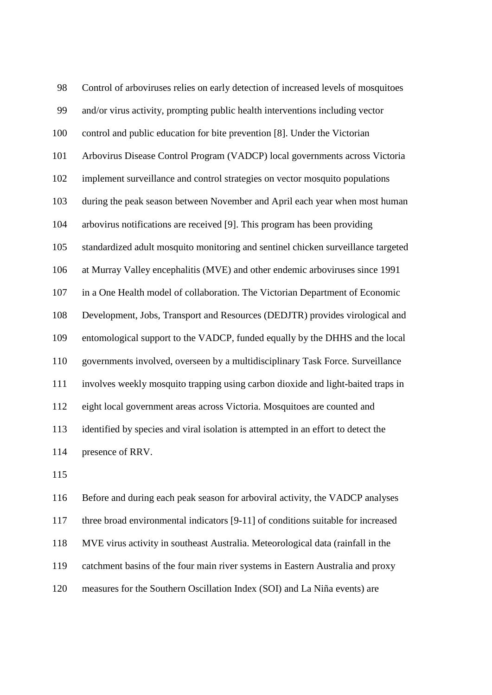Control of arboviruses relies on early detection of increased levels of mosquitoes and/or virus activity, prompting public health interventions including vector control and public education for bite prevention [8]. Under the Victorian Arbovirus Disease Control Program (VADCP) local governments across Victoria implement surveillance and control strategies on vector mosquito populations during the peak season between November and April each year when most human arbovirus notifications are received [9]. This program has been providing standardized adult mosquito monitoring and sentinel chicken surveillance targeted at Murray Valley encephalitis (MVE) and other endemic arboviruses since 1991 in a One Health model of collaboration. The Victorian Department of Economic Development, Jobs, Transport and Resources (DEDJTR) provides virological and entomological support to the VADCP, funded equally by the DHHS and the local governments involved, overseen by a multidisciplinary Task Force. Surveillance involves weekly mosquito trapping using carbon dioxide and light-baited traps in eight local government areas across Victoria. Mosquitoes are counted and identified by species and viral isolation is attempted in an effort to detect the presence of RRV.

 Before and during each peak season for arboviral activity, the VADCP analyses three broad environmental indicators [9-11] of conditions suitable for increased MVE virus activity in southeast Australia. Meteorological data (rainfall in the catchment basins of the four main river systems in Eastern Australia and proxy measures for the Southern Oscillation Index (SOI) and La Niña events) are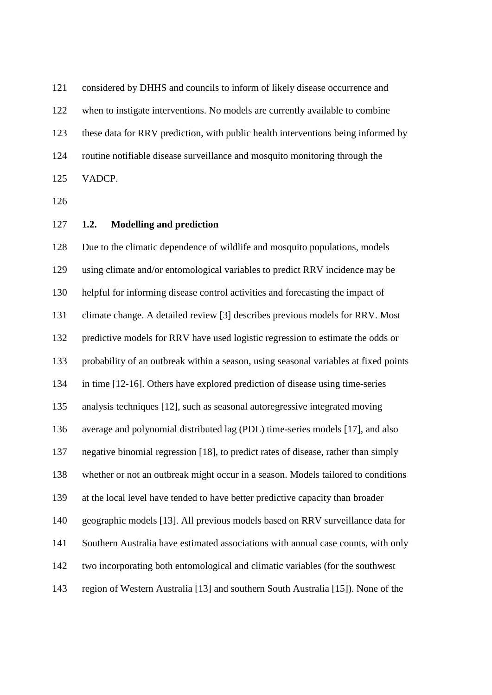considered by DHHS and councils to inform of likely disease occurrence and when to instigate interventions. No models are currently available to combine these data for RRV prediction, with public health interventions being informed by routine notifiable disease surveillance and mosquito monitoring through the VADCP.

**1.2. Modelling and prediction**

 Due to the climatic dependence of wildlife and mosquito populations, models using climate and/or entomological variables to predict RRV incidence may be helpful for informing disease control activities and forecasting the impact of climate change. A detailed review [3] describes previous models for RRV. Most predictive models for RRV have used logistic regression to estimate the odds or probability of an outbreak within a season, using seasonal variables at fixed points in time [12-16]. Others have explored prediction of disease using time-series analysis techniques [12], such as seasonal autoregressive integrated moving average and polynomial distributed lag (PDL) time-series models [17], and also negative binomial regression [18], to predict rates of disease, rather than simply whether or not an outbreak might occur in a season. Models tailored to conditions at the local level have tended to have better predictive capacity than broader geographic models [13]. All previous models based on RRV surveillance data for Southern Australia have estimated associations with annual case counts, with only two incorporating both entomological and climatic variables (for the southwest region of Western Australia [13] and southern South Australia [15]). None of the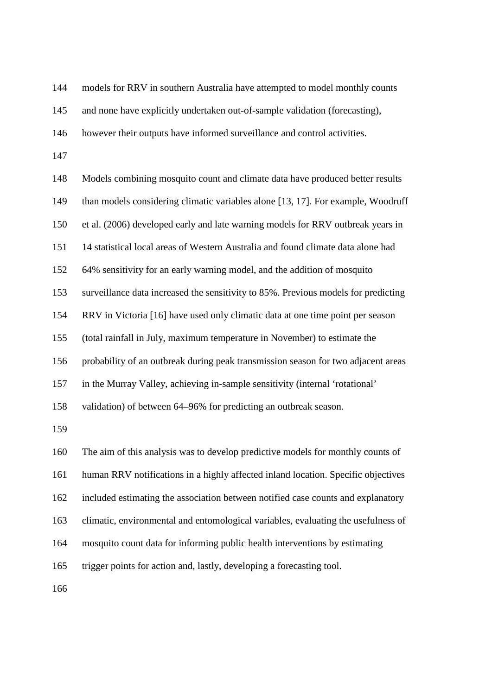models for RRV in southern Australia have attempted to model monthly counts

and none have explicitly undertaken out-of-sample validation (forecasting),

however their outputs have informed surveillance and control activities.

 Models combining mosquito count and climate data have produced better results than models considering climatic variables alone [13, 17]. For example, Woodruff et al. (2006) developed early and late warning models for RRV outbreak years in 14 statistical local areas of Western Australia and found climate data alone had 64% sensitivity for an early warning model, and the addition of mosquito surveillance data increased the sensitivity to 85%. Previous models for predicting RRV in Victoria [16] have used only climatic data at one time point per season (total rainfall in July, maximum temperature in November) to estimate the probability of an outbreak during peak transmission season for two adjacent areas in the Murray Valley, achieving in-sample sensitivity (internal 'rotational' validation) of between 64–96% for predicting an outbreak season. The aim of this analysis was to develop predictive models for monthly counts of human RRV notifications in a highly affected inland location. Specific objectives included estimating the association between notified case counts and explanatory climatic, environmental and entomological variables, evaluating the usefulness of mosquito count data for informing public health interventions by estimating trigger points for action and, lastly, developing a forecasting tool.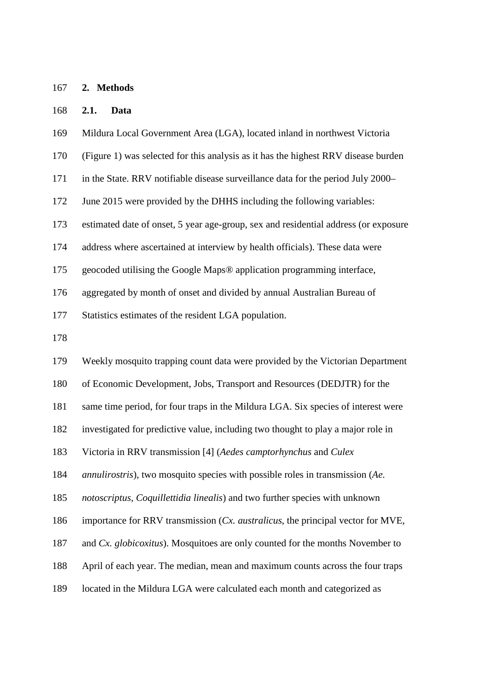#### **2. Methods**

#### **2.1. Data**

Mildura Local Government Area (LGA), located inland in northwest Victoria

- (Figure 1) was selected for this analysis as it has the highest RRV disease burden
- in the State. RRV notifiable disease surveillance data for the period July 2000–
- June 2015 were provided by the DHHS including the following variables:

estimated date of onset, 5 year age-group, sex and residential address (or exposure

address where ascertained at interview by health officials). These data were

geocoded utilising the Google Maps® application programming interface,

aggregated by month of onset and divided by annual Australian Bureau of

Statistics estimates of the resident LGA population.

Weekly mosquito trapping count data were provided by the Victorian Department

of Economic Development, Jobs, Transport and Resources (DEDJTR) for the

same time period, for four traps in the Mildura LGA. Six species of interest were

investigated for predictive value, including two thought to play a major role in

Victoria in RRV transmission [4] (*Aedes camptorhynchus* and *Culex* 

*annulirostris*), two mosquito species with possible roles in transmission (*Ae.*

*notoscriptus*, *Coquillettidia linealis*) and two further species with unknown

importance for RRV transmission (*Cx. australicus*, the principal vector for MVE,

and *Cx. globicoxitus*). Mosquitoes are only counted for the months November to

April of each year. The median, mean and maximum counts across the four traps

located in the Mildura LGA were calculated each month and categorized as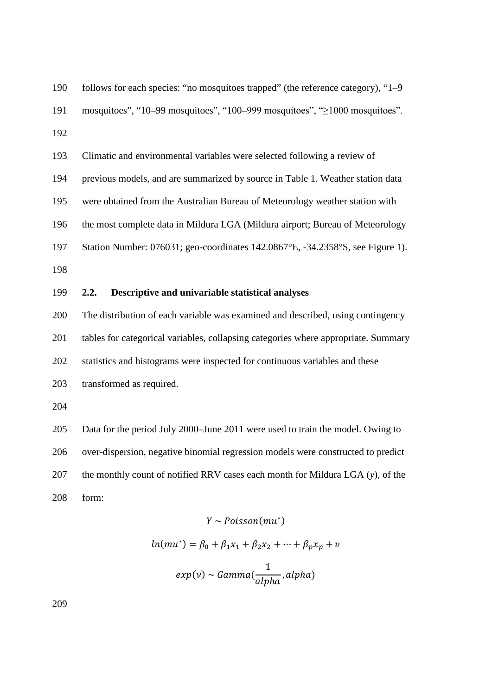| 190 | follows for each species: "no mosquitoes trapped" (the reference category), "1–9 |
|-----|----------------------------------------------------------------------------------|
| 191 | mosquitoes", "10–99 mosquitoes", "100–999 mosquitoes", ">1000 mosquitoes".       |
| 192 |                                                                                  |
| 193 | Climatic and environmental variables were selected following a review of         |
| 194 | previous models, and are summarized by source in Table 1. Weather station data   |
| 195 | were obtained from the Australian Bureau of Meteorology weather station with     |
| 196 | the most complete data in Mildura LGA (Mildura airport; Bureau of Meteorology    |
| 197 | Station Number: 076031; geo-coordinates 142.0867°E, -34.2358°S, see Figure 1).   |
| 198 |                                                                                  |

**2.2. Descriptive and univariable statistical analyses**

 The distribution of each variable was examined and described, using contingency tables for categorical variables, collapsing categories where appropriate. Summary statistics and histograms were inspected for continuous variables and these

transformed as required.

 Data for the period July 2000–June 2011 were used to train the model. Owing to over-dispersion, negative binomial regression models were constructed to predict the monthly count of notified RRV cases each month for Mildura LGA (*y*), of the form:

# $Y \sim Poisson(mu^*)$

$$
ln(mu^*) = \beta_0 + \beta_1 x_1 + \beta_2 x_2 + \dots + \beta_p x_p + v
$$

$$
exp(v) \sim Gamma(\frac{1}{alpha,apha}, alpha)
$$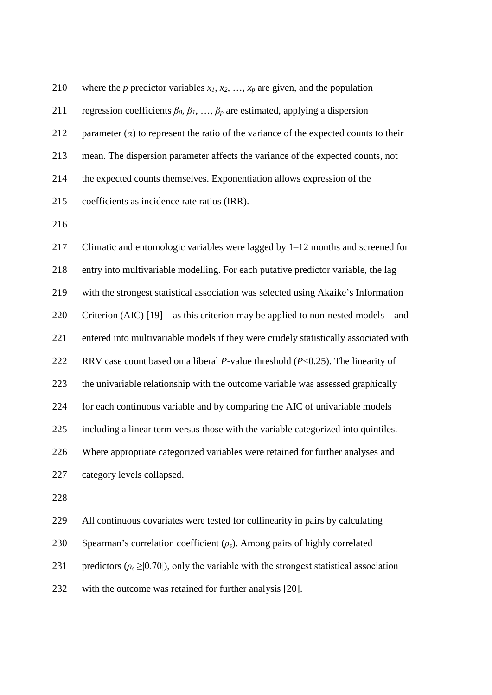| 210 | where the p predictor variables $x_1, x_2, , x_p$ are given, and the population             |
|-----|---------------------------------------------------------------------------------------------|
| 211 | regression coefficients $\beta_0, \beta_1, , \beta_p$ are estimated, applying a dispersion  |
| 212 | parameter $(\alpha)$ to represent the ratio of the variance of the expected counts to their |
| 213 | mean. The dispersion parameter affects the variance of the expected counts, not             |
| 214 | the expected counts themselves. Exponentiation allows expression of the                     |
| 215 | coefficients as incidence rate ratios (IRR).                                                |
|     |                                                                                             |

 Climatic and entomologic variables were lagged by 1–12 months and screened for entry into multivariable modelling. For each putative predictor variable, the lag with the strongest statistical association was selected using Akaike's Information Criterion (AIC) [19] – as this criterion may be applied to non-nested models – and entered into multivariable models if they were crudely statistically associated with RRV case count based on a liberal *P*-value threshold (*P*<0.25). The linearity of the univariable relationship with the outcome variable was assessed graphically for each continuous variable and by comparing the AIC of univariable models including a linear term versus those with the variable categorized into quintiles. Where appropriate categorized variables were retained for further analyses and category levels collapsed. 

All continuous covariates were tested for collinearity in pairs by calculating

Spearman's correlation coefficient (*ρs*). Among pairs of highly correlated

231 predictors  $(\rho_s \geq |0.70|)$ , only the variable with the strongest statistical association

with the outcome was retained for further analysis [20].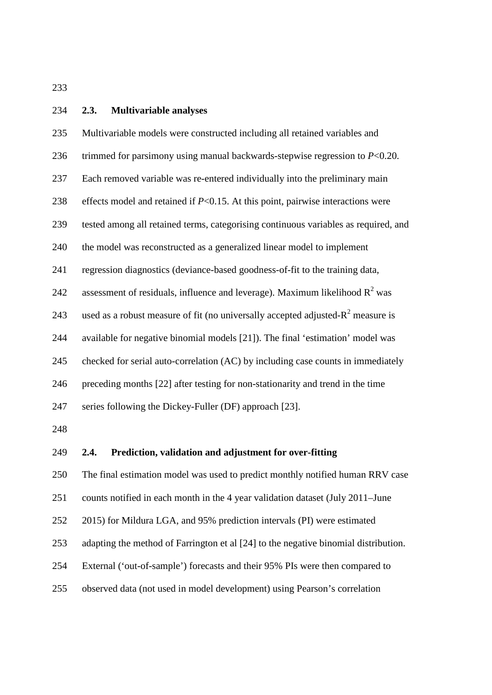#### **2.3. Multivariable analyses**

| 235 | Multivariable models were constructed including all retained variables and          |
|-----|-------------------------------------------------------------------------------------|
| 236 | trimmed for parsimony using manual backwards-stepwise regression to $P<0.20$ .      |
| 237 | Each removed variable was re-entered individually into the preliminary main         |
| 238 | effects model and retained if $P<0.15$ . At this point, pairwise interactions were  |
| 239 | tested among all retained terms, categorising continuous variables as required, and |
| 240 | the model was reconstructed as a generalized linear model to implement              |
| 241 | regression diagnostics (deviance-based goodness-of-fit to the training data,        |
| 242 | assessment of residuals, influence and leverage). Maximum likelihood $R^2$ was      |
| 243 | used as a robust measure of fit (no universally accepted adjusted- $R2$ measure is  |
| 244 | available for negative binomial models [21]). The final 'estimation' model was      |
| 245 | checked for serial auto-correlation (AC) by including case counts in immediately    |
| 246 | preceding months [22] after testing for non-stationarity and trend in the time      |
| 247 | series following the Dickey-Fuller (DF) approach [23].                              |
| 248 |                                                                                     |
| 249 | Prediction, validation and adjustment for over-fitting<br>2.4.                      |

The final estimation model was used to predict monthly notified human RRV case

counts notified in each month in the 4 year validation dataset (July 2011–June

2015) for Mildura LGA, and 95% prediction intervals (PI) were estimated

adapting the method of Farrington et al [24] to the negative binomial distribution.

- External ('out-of-sample') forecasts and their 95% PIs were then compared to
- observed data (not used in model development) using Pearson's correlation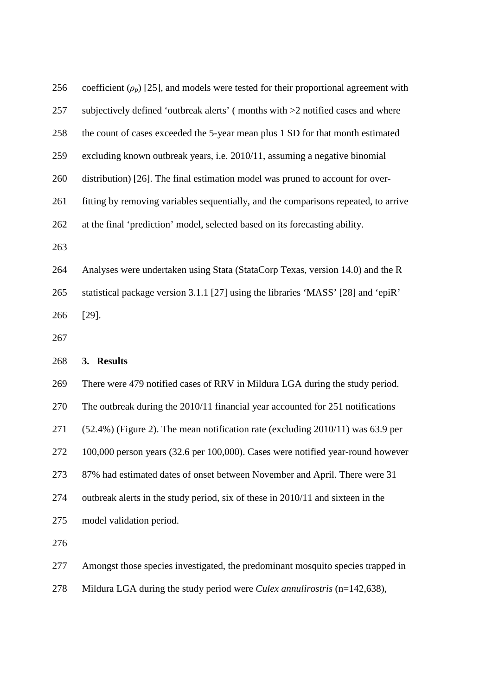| 256 | coefficient $(\rho_p)$ [25], and models were tested for their proportional agreement with |
|-----|-------------------------------------------------------------------------------------------|
| 257 | subjectively defined 'outbreak alerts' (months with >2 notified cases and where           |
| 258 | the count of cases exceeded the 5-year mean plus 1 SD for that month estimated            |
| 259 | excluding known outbreak years, i.e. 2010/11, assuming a negative binomial                |
| 260 | distribution) [26]. The final estimation model was pruned to account for over-            |
| 261 | fitting by removing variables sequentially, and the comparisons repeated, to arrive       |
| 262 | at the final 'prediction' model, selected based on its forecasting ability.               |
| 263 |                                                                                           |
| 264 | Analyses were undertaken using Stata (StataCorp Texas, version 14.0) and the R            |
| 265 | statistical package version 3.1.1 [27] using the libraries 'MASS' [28] and 'epiR'         |
|     |                                                                                           |
| 266 | $[29]$ .                                                                                  |
| 267 |                                                                                           |
| 268 | 3. Results                                                                                |
| 269 | There were 479 notified cases of RRV in Mildura LGA during the study period.              |
| 270 | The outbreak during the 2010/11 financial year accounted for 251 notifications            |
| 271 | $(52.4%)$ (Figure 2). The mean notification rate (excluding 2010/11) was 63.9 per         |
| 272 | 100,000 person years (32.6 per 100,000). Cases were notified year-round however           |
| 273 | 87% had estimated dates of onset between November and April. There were 31                |
| 274 | outbreak alerts in the study period, six of these in 2010/11 and sixteen in the           |

Amongst those species investigated, the predominant mosquito species trapped in

Mildura LGA during the study period were *Culex annulirostris* (n=142,638),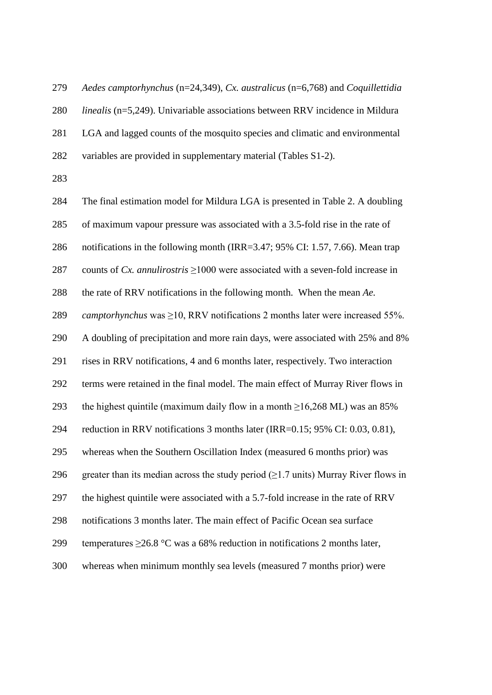*Aedes camptorhynchus* (n=24,349), *Cx. australicus* (n=6,768) and *Coquillettidia linealis* (n=5,249). Univariable associations between RRV incidence in Mildura LGA and lagged counts of the mosquito species and climatic and environmental variables are provided in supplementary material (Tables S1-2).

 The final estimation model for Mildura LGA is presented in Table 2. A doubling of maximum vapour pressure was associated with a 3.5-fold rise in the rate of notifications in the following month (IRR=3.47; 95% CI: 1.57, 7.66). Mean trap counts of *Cx. annulirostris* ≥1000 were associated with a seven-fold increase in the rate of RRV notifications in the following month. When the mean *Ae. camptorhynchus* was ≥10, RRV notifications 2 months later were increased 55%. A doubling of precipitation and more rain days, were associated with 25% and 8% rises in RRV notifications, 4 and 6 months later, respectively. Two interaction terms were retained in the final model. The main effect of Murray River flows in 293 the highest quintile (maximum daily flow in a month  $\geq$ 16,268 ML) was an 85% reduction in RRV notifications 3 months later (IRR=0.15; 95% CI: 0.03, 0.81), whereas when the Southern Oscillation Index (measured 6 months prior) was 296 greater than its median across the study period  $(\geq 1.7 \text{ units})$  Murray River flows in the highest quintile were associated with a 5.7-fold increase in the rate of RRV notifications 3 months later. The main effect of Pacific Ocean sea surface 299 temperatures  $\geq$ 26.8 °C was a 68% reduction in notifications 2 months later, whereas when minimum monthly sea levels (measured 7 months prior) were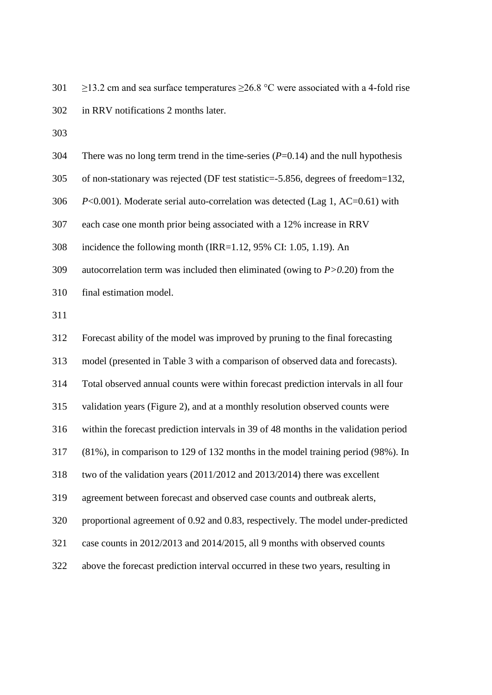- 301 ≥13.2 cm and sea surface temperatures  $\geq$ 26.8 °C were associated with a 4-fold rise in RRV notifications 2 months later.
- 

| 304 | There was no long term trend in the time-series $(P=0.14)$ and the null hypothesis   |
|-----|--------------------------------------------------------------------------------------|
| 305 | of non-stationary was rejected (DF test statistic=-5.856, degrees of freedom=132,    |
| 306 | $P<0.001$ ). Moderate serial auto-correlation was detected (Lag 1, AC=0.61) with     |
| 307 | each case one month prior being associated with a 12% increase in RRV                |
| 308 | incidence the following month (IRR= $1.12$ , 95% CI: 1.05, 1.19). An                 |
| 309 | autocorrelation term was included then eliminated (owing to $P > 0.20$ ) from the    |
| 310 | final estimation model.                                                              |
| 311 |                                                                                      |
| 312 | Forecast ability of the model was improved by pruning to the final forecasting       |
| 313 | model (presented in Table 3 with a comparison of observed data and forecasts).       |
| 314 | Total observed annual counts were within forecast prediction intervals in all four   |
| 315 | validation years (Figure 2), and at a monthly resolution observed counts were        |
| 316 | within the forecast prediction intervals in 39 of 48 months in the validation period |
| 317 | (81%), in comparison to 129 of 132 months in the model training period (98%). In     |
| 318 | two of the validation years (2011/2012 and 2013/2014) there was excellent            |
| 319 | agreement between forecast and observed case counts and outbreak alerts,             |
| 320 | proportional agreement of 0.92 and 0.83, respectively. The model under-predicted     |
| 321 | case counts in 2012/2013 and 2014/2015, all 9 months with observed counts            |
| 322 | above the forecast prediction interval occurred in these two years, resulting in     |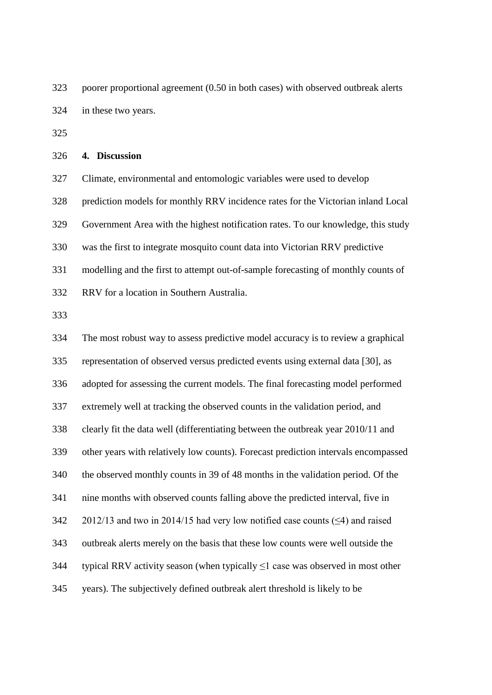poorer proportional agreement (0.50 in both cases) with observed outbreak alerts in these two years.

#### **4. Discussion**

 Climate, environmental and entomologic variables were used to develop prediction models for monthly RRV incidence rates for the Victorian inland Local Government Area with the highest notification rates. To our knowledge, this study was the first to integrate mosquito count data into Victorian RRV predictive modelling and the first to attempt out-of-sample forecasting of monthly counts of RRV for a location in Southern Australia.

 The most robust way to assess predictive model accuracy is to review a graphical representation of observed versus predicted events using external data [30], as adopted for assessing the current models. The final forecasting model performed extremely well at tracking the observed counts in the validation period, and clearly fit the data well (differentiating between the outbreak year 2010/11 and other years with relatively low counts). Forecast prediction intervals encompassed the observed monthly counts in 39 of 48 months in the validation period. Of the nine months with observed counts falling above the predicted interval, five in 342 2012/13 and two in 2014/15 had very low notified case counts  $(\leq 4)$  and raised outbreak alerts merely on the basis that these low counts were well outside the 344 typical RRV activity season (when typically  $\leq 1$  case was observed in most other years). The subjectively defined outbreak alert threshold is likely to be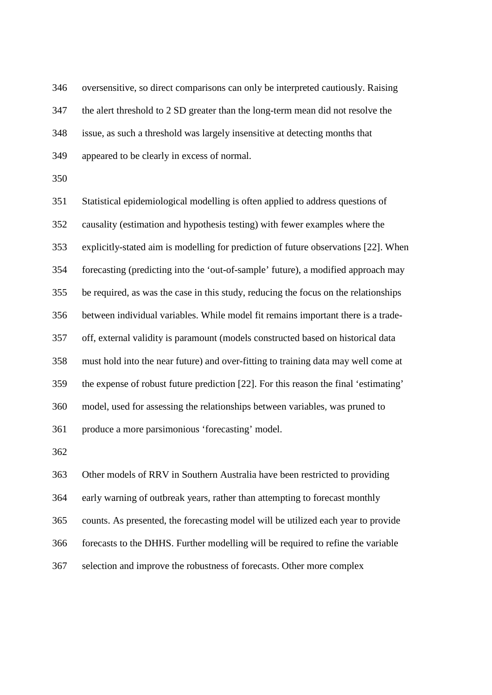oversensitive, so direct comparisons can only be interpreted cautiously. Raising the alert threshold to 2 SD greater than the long-term mean did not resolve the

issue, as such a threshold was largely insensitive at detecting months that

appeared to be clearly in excess of normal.

 Statistical epidemiological modelling is often applied to address questions of causality (estimation and hypothesis testing) with fewer examples where the explicitly-stated aim is modelling for prediction of future observations [22]. When forecasting (predicting into the 'out-of-sample' future), a modified approach may be required, as was the case in this study, reducing the focus on the relationships between individual variables. While model fit remains important there is a trade- off, external validity is paramount (models constructed based on historical data must hold into the near future) and over-fitting to training data may well come at the expense of robust future prediction [22]. For this reason the final 'estimating' model, used for assessing the relationships between variables, was pruned to produce a more parsimonious 'forecasting' model.

 Other models of RRV in Southern Australia have been restricted to providing early warning of outbreak years, rather than attempting to forecast monthly counts. As presented, the forecasting model will be utilized each year to provide forecasts to the DHHS. Further modelling will be required to refine the variable selection and improve the robustness of forecasts. Other more complex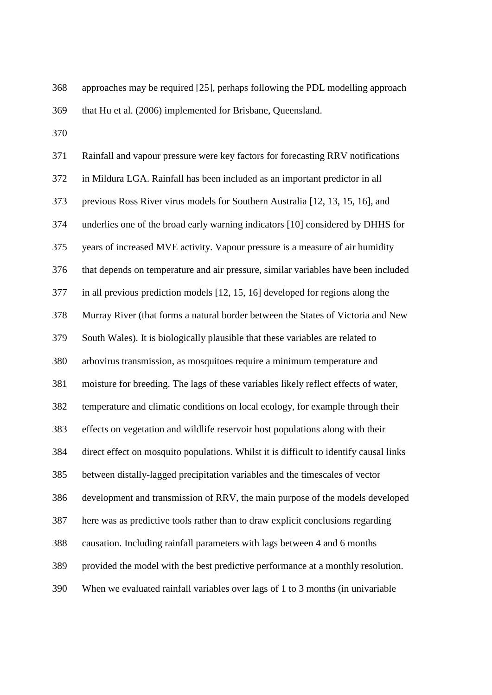approaches may be required [25], perhaps following the PDL modelling approach

that Hu et al. (2006) implemented for Brisbane, Queensland.

| 371 | Rainfall and vapour pressure were key factors for forecasting RRV notifications        |
|-----|----------------------------------------------------------------------------------------|
| 372 | in Mildura LGA. Rainfall has been included as an important predictor in all            |
| 373 | previous Ross River virus models for Southern Australia [12, 13, 15, 16], and          |
| 374 | underlies one of the broad early warning indicators [10] considered by DHHS for        |
| 375 | years of increased MVE activity. Vapour pressure is a measure of air humidity          |
| 376 | that depends on temperature and air pressure, similar variables have been included     |
| 377 | in all previous prediction models [12, 15, 16] developed for regions along the         |
| 378 | Murray River (that forms a natural border between the States of Victoria and New       |
| 379 | South Wales). It is biologically plausible that these variables are related to         |
| 380 | arbovirus transmission, as mosquitoes require a minimum temperature and                |
| 381 | moisture for breeding. The lags of these variables likely reflect effects of water,    |
| 382 | temperature and climatic conditions on local ecology, for example through their        |
| 383 | effects on vegetation and wildlife reservoir host populations along with their         |
| 384 | direct effect on mosquito populations. Whilst it is difficult to identify causal links |
| 385 | between distally-lagged precipitation variables and the timescales of vector           |
| 386 | development and transmission of RRV, the main purpose of the models developed          |
| 387 | here was as predictive tools rather than to draw explicit conclusions regarding        |
| 388 | causation. Including rainfall parameters with lags between 4 and 6 months              |
| 389 | provided the model with the best predictive performance at a monthly resolution.       |
| 390 | When we evaluated rainfall variables over lags of 1 to 3 months (in univariable        |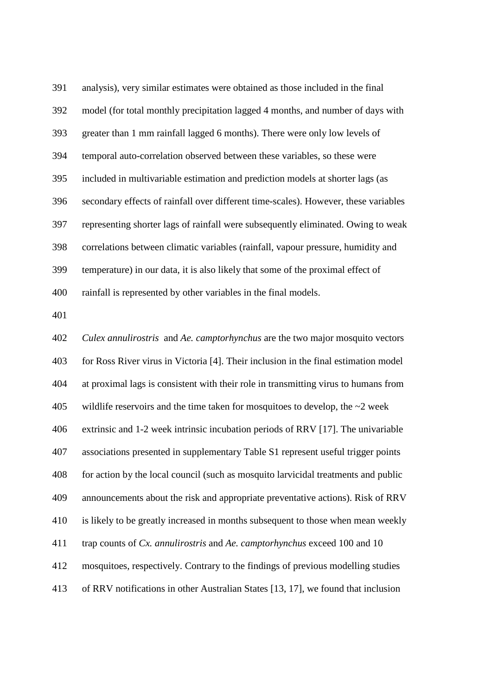analysis), very similar estimates were obtained as those included in the final model (for total monthly precipitation lagged 4 months, and number of days with greater than 1 mm rainfall lagged 6 months). There were only low levels of temporal auto-correlation observed between these variables, so these were included in multivariable estimation and prediction models at shorter lags (as secondary effects of rainfall over different time-scales). However, these variables representing shorter lags of rainfall were subsequently eliminated. Owing to weak correlations between climatic variables (rainfall, vapour pressure, humidity and temperature) in our data, it is also likely that some of the proximal effect of rainfall is represented by other variables in the final models.

 *Culex annulirostris* and *Ae. camptorhynchus* are the two major mosquito vectors for Ross River virus in Victoria [4]. Their inclusion in the final estimation model at proximal lags is consistent with their role in transmitting virus to humans from 405 wildlife reservoirs and the time taken for mosquitoes to develop, the  $\sim$ 2 week extrinsic and 1-2 week intrinsic incubation periods of RRV [17]. The univariable associations presented in supplementary Table S1 represent useful trigger points for action by the local council (such as mosquito larvicidal treatments and public announcements about the risk and appropriate preventative actions). Risk of RRV is likely to be greatly increased in months subsequent to those when mean weekly trap counts of *Cx. annulirostris* and *Ae. camptorhynchus* exceed 100 and 10 mosquitoes, respectively. Contrary to the findings of previous modelling studies of RRV notifications in other Australian States [13, 17], we found that inclusion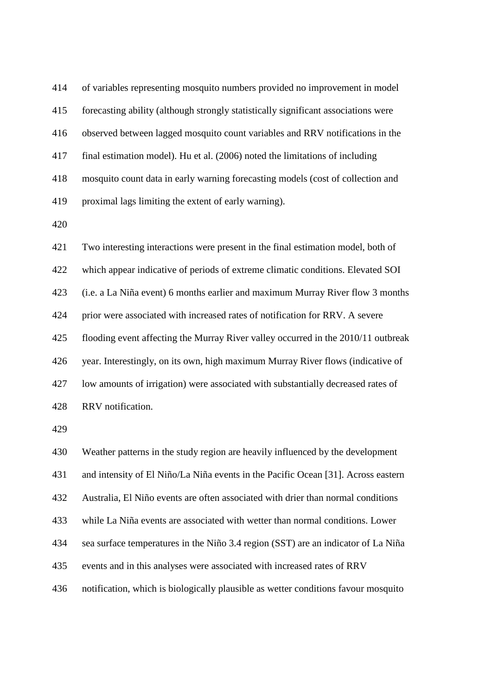of variables representing mosquito numbers provided no improvement in model forecasting ability (although strongly statistically significant associations were observed between lagged mosquito count variables and RRV notifications in the final estimation model). Hu et al. (2006) noted the limitations of including mosquito count data in early warning forecasting models (cost of collection and proximal lags limiting the extent of early warning).

 Two interesting interactions were present in the final estimation model, both of which appear indicative of periods of extreme climatic conditions. Elevated SOI (i.e. a La Niña event) 6 months earlier and maximum Murray River flow 3 months prior were associated with increased rates of notification for RRV. A severe flooding event affecting the Murray River valley occurred in the 2010/11 outbreak year. Interestingly, on its own, high maximum Murray River flows (indicative of low amounts of irrigation) were associated with substantially decreased rates of RRV notification.

 Weather patterns in the study region are heavily influenced by the development and intensity of El Niño/La Niña events in the Pacific Ocean [31]. Across eastern Australia, El Niño events are often associated with drier than normal conditions while La Niña events are associated with wetter than normal conditions. Lower sea surface temperatures in the Niño 3.4 region (SST) are an indicator of La Niña events and in this analyses were associated with increased rates of RRV notification, which is biologically plausible as wetter conditions favour mosquito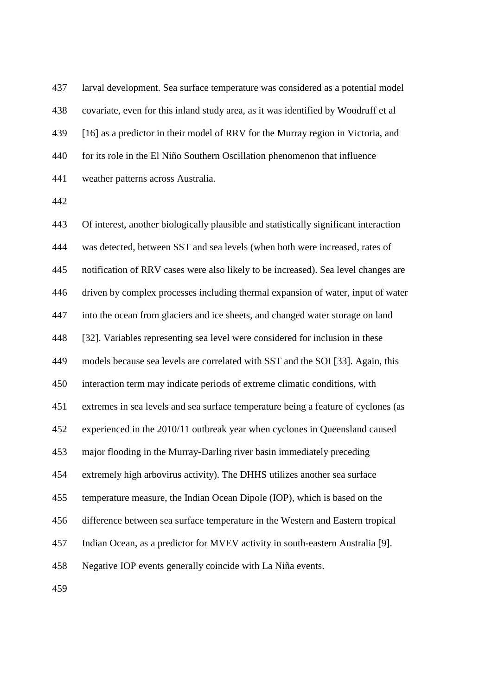larval development. Sea surface temperature was considered as a potential model covariate, even for this inland study area, as it was identified by Woodruff et al [16] as a predictor in their model of RRV for the Murray region in Victoria, and for its role in the El Niño Southern Oscillation phenomenon that influence weather patterns across Australia.

 Of interest, another biologically plausible and statistically significant interaction was detected, between SST and sea levels (when both were increased, rates of notification of RRV cases were also likely to be increased). Sea level changes are driven by complex processes including thermal expansion of water, input of water into the ocean from glaciers and ice sheets, and changed water storage on land [32]. Variables representing sea level were considered for inclusion in these models because sea levels are correlated with SST and the SOI [33]. Again, this interaction term may indicate periods of extreme climatic conditions, with extremes in sea levels and sea surface temperature being a feature of cyclones (as experienced in the 2010/11 outbreak year when cyclones in Queensland caused major flooding in the Murray-Darling river basin immediately preceding extremely high arbovirus activity). The DHHS utilizes another sea surface temperature measure, the Indian Ocean Dipole (IOP), which is based on the difference between sea surface temperature in the Western and Eastern tropical Indian Ocean, as a predictor for MVEV activity in south-eastern Australia [9]. Negative IOP events generally coincide with La Niña events.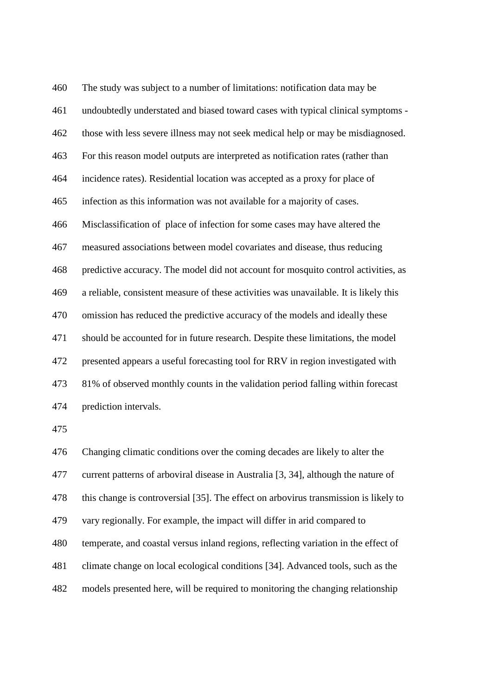The study was subject to a number of limitations: notification data may be undoubtedly understated and biased toward cases with typical clinical symptoms - those with less severe illness may not seek medical help or may be misdiagnosed. For this reason model outputs are interpreted as notification rates (rather than incidence rates). Residential location was accepted as a proxy for place of infection as this information was not available for a majority of cases. Misclassification of place of infection for some cases may have altered the measured associations between model covariates and disease, thus reducing predictive accuracy. The model did not account for mosquito control activities, as a reliable, consistent measure of these activities was unavailable. It is likely this omission has reduced the predictive accuracy of the models and ideally these should be accounted for in future research. Despite these limitations, the model presented appears a useful forecasting tool for RRV in region investigated with 81% of observed monthly counts in the validation period falling within forecast prediction intervals.

 Changing climatic conditions over the coming decades are likely to alter the current patterns of arboviral disease in Australia [3, 34], although the nature of this change is controversial [35]. The effect on arbovirus transmission is likely to vary regionally. For example, the impact will differ in arid compared to temperate, and coastal versus inland regions, reflecting variation in the effect of climate change on local ecological conditions [34]. Advanced tools, such as the models presented here, will be required to monitoring the changing relationship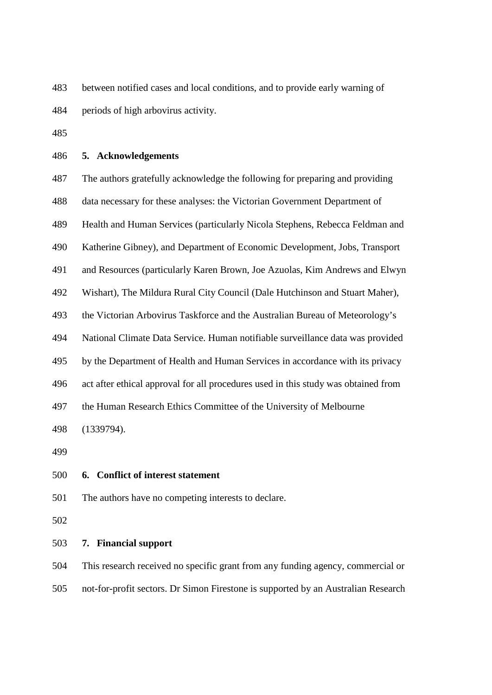between notified cases and local conditions, and to provide early warning of periods of high arbovirus activity.

# **5. Acknowledgements**

The authors gratefully acknowledge the following for preparing and providing

data necessary for these analyses: the Victorian Government Department of

Health and Human Services (particularly Nicola Stephens, Rebecca Feldman and

Katherine Gibney), and Department of Economic Development, Jobs, Transport

and Resources (particularly Karen Brown, Joe Azuolas, Kim Andrews and Elwyn

Wishart), The Mildura Rural City Council (Dale Hutchinson and Stuart Maher),

the Victorian Arbovirus Taskforce and the Australian Bureau of Meteorology's

National Climate Data Service. Human notifiable surveillance data was provided

by the Department of Health and Human Services in accordance with its privacy

act after ethical approval for all procedures used in this study was obtained from

the Human Research Ethics Committee of the University of Melbourne

(1339794).

# **6. Conflict of interest statement**

The authors have no competing interests to declare.

## **7. Financial support**

 This research received no specific grant from any funding agency, commercial or not-for-profit sectors. Dr Simon Firestone is supported by an Australian Research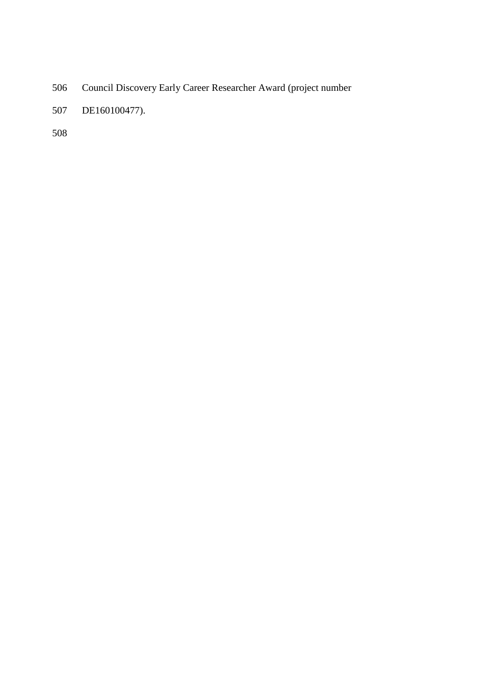- Council Discovery Early Career Researcher Award (project number
- DE160100477).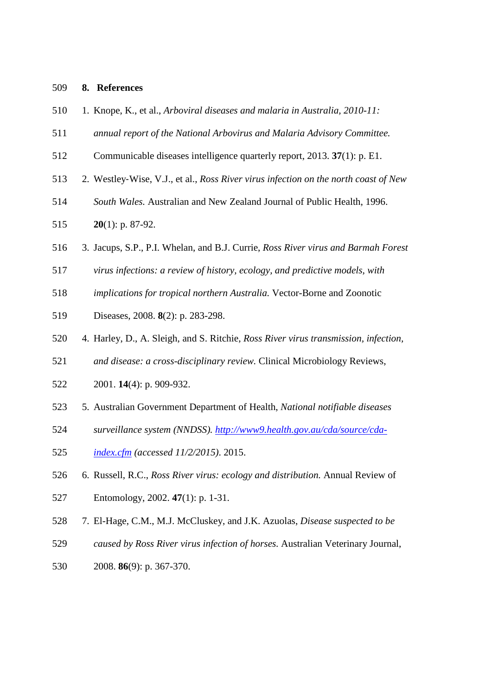# **8. References**

- 1. Knope, K., et al., *Arboviral diseases and malaria in Australia, 2010-11:*
- *annual report of the National Arbovirus and Malaria Advisory Committee.*
- Communicable diseases intelligence quarterly report, 2013. **37**(1): p. E1.
- 2. Westley‐Wise, V.J., et al., *Ross River virus infection on the north coast of New*
- *South Wales.* Australian and New Zealand Journal of Public Health, 1996.
- **20**(1): p. 87-92.
- 3. Jacups, S.P., P.I. Whelan, and B.J. Currie, *Ross River virus and Barmah Forest*
- *virus infections: a review of history, ecology, and predictive models, with*
- *implications for tropical northern Australia.* Vector-Borne and Zoonotic
- Diseases, 2008. **8**(2): p. 283-298.
- 4. Harley, D., A. Sleigh, and S. Ritchie, *Ross River virus transmission, infection,*
- *and disease: a cross-disciplinary review.* Clinical Microbiology Reviews,
- 2001. **14**(4): p. 909-932.
- 5. Australian Government Department of Health, *National notifiable diseases*
- *surveillance system (NNDSS). http://www9.health.gov.au/cda/source/cda-*
- *index.cfm (accessed 11/2/2015)*. 2015.
- 6. Russell, R.C., *Ross River virus: ecology and distribution.* Annual Review of
- Entomology, 2002. **47**(1): p. 1-31.
- 7. El-Hage, C.M., M.J. McCluskey, and J.K. Azuolas, *Disease suspected to be*
- *caused by Ross River virus infection of horses.* Australian Veterinary Journal,
- 2008. **86**(9): p. 367-370.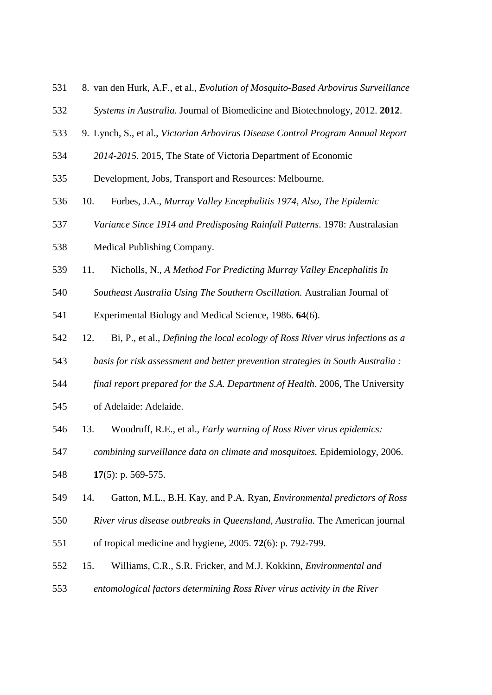- 8. van den Hurk, A.F., et al., *Evolution of Mosquito-Based Arbovirus Surveillance*
- *Systems in Australia.* Journal of Biomedicine and Biotechnology, 2012. **2012**.
- 9. Lynch, S., et al., *Victorian Arbovirus Disease Control Program Annual Report*
- *2014-2015*. 2015, The State of Victoria Department of Economic
- Development, Jobs, Transport and Resources: Melbourne.
- 10. Forbes, J.A., *Murray Valley Encephalitis 1974, Also, The Epidemic*
- *Variance Since 1914 and Predisposing Rainfall Patterns*. 1978: Australasian
- Medical Publishing Company.
- 11. Nicholls, N., *A Method For Predicting Murray Valley Encephalitis In*
- *Southeast Australia Using The Southern Oscillation.* Australian Journal of

Experimental Biology and Medical Science, 1986. **64**(6).

- 12. Bi, P., et al., *Defining the local ecology of Ross River virus infections as a*
- *basis for risk assessment and better prevention strategies in South Australia :*
- *final report prepared for the S.A. Department of Health*. 2006, The University
- of Adelaide: Adelaide.
- 13. Woodruff, R.E., et al., *Early warning of Ross River virus epidemics:*
- *combining surveillance data on climate and mosquitoes.* Epidemiology, 2006.
- **17**(5): p. 569-575.
- 14. Gatton, M.L., B.H. Kay, and P.A. Ryan, *Environmental predictors of Ross*
- *River virus disease outbreaks in Queensland, Australia.* The American journal
- of tropical medicine and hygiene, 2005. **72**(6): p. 792-799.
- 15. Williams, C.R., S.R. Fricker, and M.J. Kokkinn, *Environmental and*
- *entomological factors determining Ross River virus activity in the River*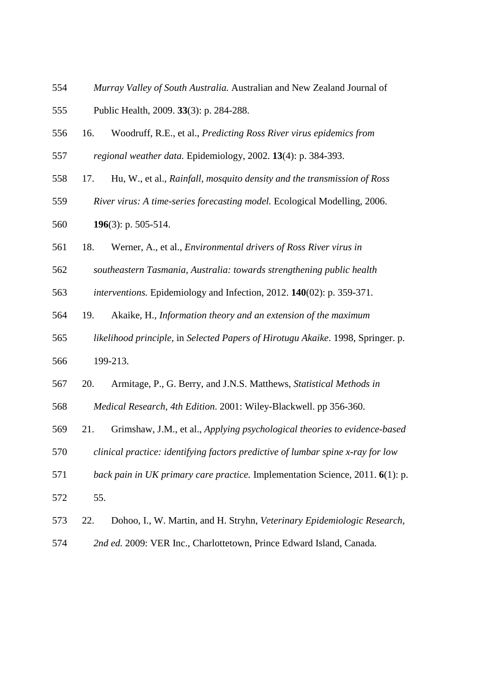- *Murray Valley of South Australia.* Australian and New Zealand Journal of Public Health, 2009. **33**(3): p. 284-288.
- 16. Woodruff, R.E., et al., *Predicting Ross River virus epidemics from*
- *regional weather data.* Epidemiology, 2002. **13**(4): p. 384-393.
- 17. Hu, W., et al., *Rainfall, mosquito density and the transmission of Ross*
- *River virus: A time-series forecasting model.* Ecological Modelling, 2006.
- **196**(3): p. 505-514.
- 18. Werner, A., et al., *Environmental drivers of Ross River virus in*
- *southeastern Tasmania, Australia: towards strengthening public health*
- *interventions.* Epidemiology and Infection, 2012. **140**(02): p. 359-371.
- 19. Akaike, H., *Information theory and an extension of the maximum*
- *likelihood principle*, in *Selected Papers of Hirotugu Akaike*. 1998, Springer. p. 199-213.
- 20. Armitage, P., G. Berry, and J.N.S. Matthews, *Statistical Methods in*
- *Medical Research, 4th Edition*. 2001: Wiley-Blackwell. pp 356-360.
- 21. Grimshaw, J.M., et al., *Applying psychological theories to evidence-based*
- *clinical practice: identifying factors predictive of lumbar spine x-ray for low*
- *back pain in UK primary care practice.* Implementation Science, 2011. **6**(1): p. 55.
- 22. Dohoo, I., W. Martin, and H. Stryhn, *Veterinary Epidemiologic Research,*
- *2nd ed.* 2009: VER Inc., Charlottetown, Prince Edward Island, Canada.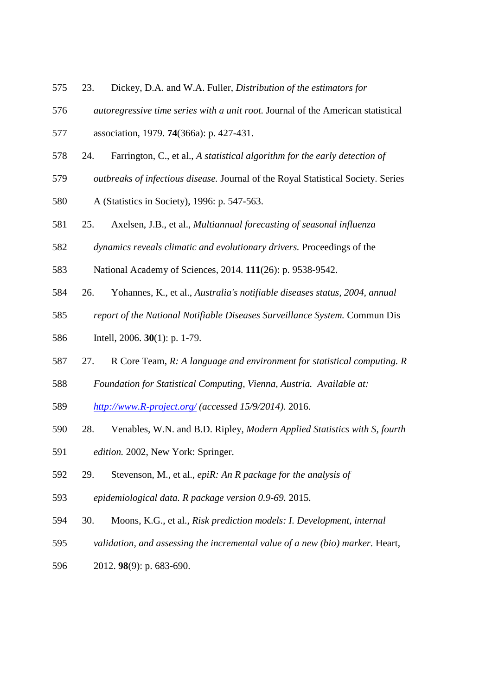- 23. Dickey, D.A. and W.A. Fuller, *Distribution of the estimators for*
- *autoregressive time series with a unit root.* Journal of the American statistical
- association, 1979. **74**(366a): p. 427-431.
- 24. Farrington, C., et al., *A statistical algorithm for the early detection of*
- *outbreaks of infectious disease.* Journal of the Royal Statistical Society. Series
- A (Statistics in Society), 1996: p. 547-563.
- 25. Axelsen, J.B., et al., *Multiannual forecasting of seasonal influenza*
- *dynamics reveals climatic and evolutionary drivers.* Proceedings of the
- National Academy of Sciences, 2014. **111**(26): p. 9538-9542.
- 26. Yohannes, K., et al., *Australia's notifiable diseases status, 2004, annual*
- *report of the National Notifiable Diseases Surveillance System.* Commun Dis
- Intell, 2006. **30**(1): p. 1-79.
- 27. R Core Team, *R: A language and environment for statistical computing. R*
- *Foundation for Statistical Computing, Vienna, Austria. Available at:*
- *http://www.R-project.org/ (accessed 15/9/2014)*. 2016.
- 28. Venables, W.N. and B.D. Ripley, *Modern Applied Statistics with S, fourth*
- *edition.* 2002, New York: Springer.
- 29. Stevenson, M., et al., *epiR: An R package for the analysis of*
- *epidemiological data. R package version 0.9-69.* 2015.
- 30. Moons, K.G., et al., *Risk prediction models: I. Development, internal*
- *validation, and assessing the incremental value of a new (bio) marker.* Heart,
- 2012. **98**(9): p. 683-690.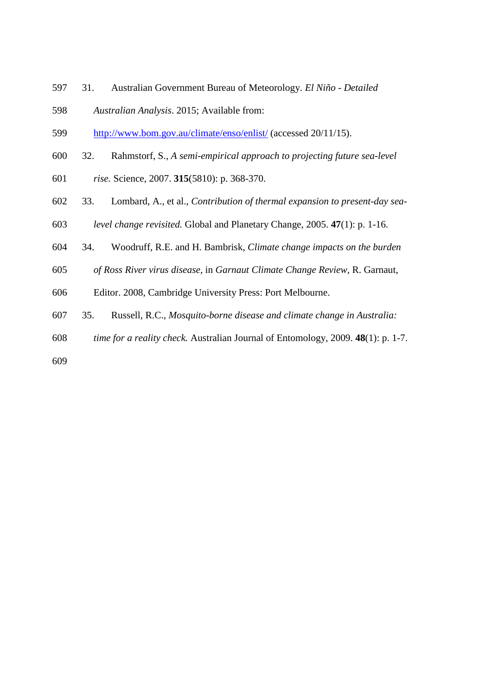- 31. Australian Government Bureau of Meteorology. *El Niño - Detailed*
- *Australian Analysis*. 2015; Available from:
- http://www.bom.gov.au/climate/enso/enlist/ (accessed 20/11/15).
- 32. Rahmstorf, S., *A semi-empirical approach to projecting future sea-level*
- *rise.* Science, 2007. **315**(5810): p. 368-370.
- 33. Lombard, A., et al., *Contribution of thermal expansion to present-day sea-*
- *level change revisited.* Global and Planetary Change, 2005. **47**(1): p. 1-16.
- 34. Woodruff, R.E. and H. Bambrisk, *Climate change impacts on the burden*
- *of Ross River virus disease*, in *Garnaut Climate Change Review*, R. Garnaut,
- Editor. 2008, Cambridge University Press: Port Melbourne.
- 35. Russell, R.C., *Mosquito-borne disease and climate change in Australia:*
- *time for a reality check.* Australian Journal of Entomology, 2009. **48**(1): p. 1-7.